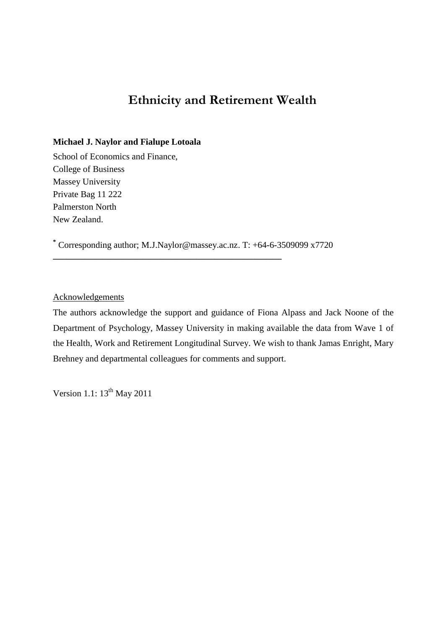# **Ethnicity and Retirement Wealth**

### **Michael J. Naylor and Fialupe Lotoala**

School of Economics and Finance, College of Business Massey University Private Bag 11 222 Palmerston North New Zealand.

**\*** Corresponding author; [M.J.Naylor@massey.ac.nz.](mailto:M.J.Naylor@massey.ac.nz) T: +64-6-3509099 x7720

**\_\_\_\_\_\_\_\_\_\_\_\_\_\_\_\_\_\_\_\_\_\_\_\_\_\_\_\_\_\_\_\_\_\_\_\_\_\_\_\_\_\_\_\_\_\_\_\_\_\_\_**

**Acknowledgements** 

The authors acknowledge the support and guidance of Fiona Alpass and Jack Noone of the Department of Psychology, Massey University in making available the data from Wave 1 of the Health, Work and Retirement Longitudinal Survey. We wish to thank Jamas Enright, Mary Brehney and departmental colleagues for comments and support.

Version 1.1:  $13^{th}$  May 2011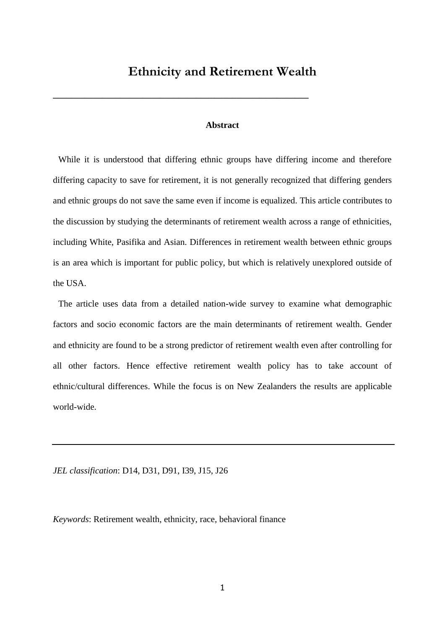# **Ethnicity and Retirement Wealth**

**\_\_\_\_\_\_\_\_\_\_\_\_\_\_\_\_\_\_\_\_\_\_\_\_\_\_\_\_\_\_\_\_\_\_\_\_\_\_\_\_\_\_\_\_\_\_\_\_\_\_\_\_\_\_\_\_\_**

### **Abstract**

While it is understood that differing ethnic groups have differing income and therefore differing capacity to save for retirement, it is not generally recognized that differing genders and ethnic groups do not save the same even if income is equalized. This article contributes to the discussion by studying the determinants of retirement wealth across a range of ethnicities, including White, Pasifika and Asian. Differences in retirement wealth between ethnic groups is an area which is important for public policy, but which is relatively unexplored outside of the USA.

The article uses data from a detailed nation-wide survey to examine what demographic factors and socio economic factors are the main determinants of retirement wealth. Gender and ethnicity are found to be a strong predictor of retirement wealth even after controlling for all other factors. Hence effective retirement wealth policy has to take account of ethnic/cultural differences. While the focus is on New Zealanders the results are applicable world-wide.

*JEL classification*: D14, D31, D91, I39, J15, J26

*Keywords*: Retirement wealth, ethnicity, race, behavioral finance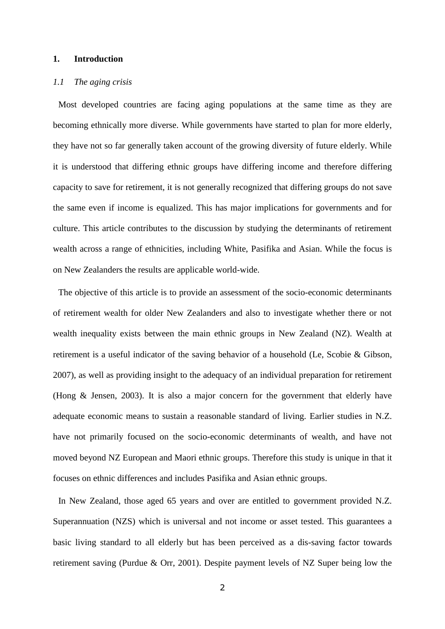## **1. Introduction**

#### *1.1 The aging crisis*

Most developed countries are facing aging populations at the same time as they are becoming ethnically more diverse. While governments have started to plan for more elderly, they have not so far generally taken account of the growing diversity of future elderly. While it is understood that differing ethnic groups have differing income and therefore differing capacity to save for retirement, it is not generally recognized that differing groups do not save the same even if income is equalized. This has major implications for governments and for culture. This article contributes to the discussion by studying the determinants of retirement wealth across a range of ethnicities, including White, Pasifika and Asian. While the focus is on New Zealanders the results are applicable world-wide.

The objective of this article is to provide an assessment of the socio-economic determinants of retirement wealth for older New Zealanders and also to investigate whether there or not wealth inequality exists between the main ethnic groups in New Zealand (NZ). Wealth at retirement is a useful indicator of the saving behavior of a household (Le, Scobie & Gibson, 2007), as well as providing insight to the adequacy of an individual preparation for retirement (Hong & Jensen, 2003). It is also a major concern for the government that elderly have adequate economic means to sustain a reasonable standard of living. Earlier studies in N.Z. have not primarily focused on the socio-economic determinants of wealth, and have not moved beyond NZ European and Maori ethnic groups. Therefore this study is unique in that it focuses on ethnic differences and includes Pasifika and Asian ethnic groups.

In New Zealand, those aged 65 years and over are entitled to government provided N.Z. Superannuation (NZS) which is universal and not income or asset tested. This guarantees a basic living standard to all elderly but has been perceived as a dis-saving factor towards retirement saving (Purdue & Orr, 2001). Despite payment levels of NZ Super being low the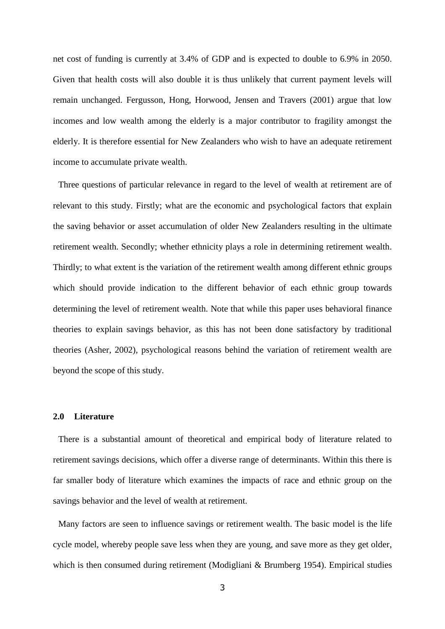net cost of funding is currently at 3.4% of GDP and is expected to double to 6.9% in 2050. Given that health costs will also double it is thus unlikely that current payment levels will remain unchanged. Fergusson, Hong, Horwood, Jensen and Travers (2001) argue that low incomes and low wealth among the elderly is a major contributor to fragility amongst the elderly. It is therefore essential for New Zealanders who wish to have an adequate retirement income to accumulate private wealth.

Three questions of particular relevance in regard to the level of wealth at retirement are of relevant to this study. Firstly; what are the economic and psychological factors that explain the saving behavior or asset accumulation of older New Zealanders resulting in the ultimate retirement wealth. Secondly; whether ethnicity plays a role in determining retirement wealth. Thirdly; to what extent is the variation of the retirement wealth among different ethnic groups which should provide indication to the different behavior of each ethnic group towards determining the level of retirement wealth. Note that while this paper uses behavioral finance theories to explain savings behavior, as this has not been done satisfactory by traditional theories (Asher, 2002), psychological reasons behind the variation of retirement wealth are beyond the scope of this study.

#### **2.0 Literature**

There is a substantial amount of theoretical and empirical body of literature related to retirement savings decisions, which offer a diverse range of determinants. Within this there is far smaller body of literature which examines the impacts of race and ethnic group on the savings behavior and the level of wealth at retirement.

Many factors are seen to influence savings or retirement wealth. The basic model is the life cycle model, whereby people save less when they are young, and save more as they get older, which is then consumed during retirement (Modigliani & Brumberg 1954). Empirical studies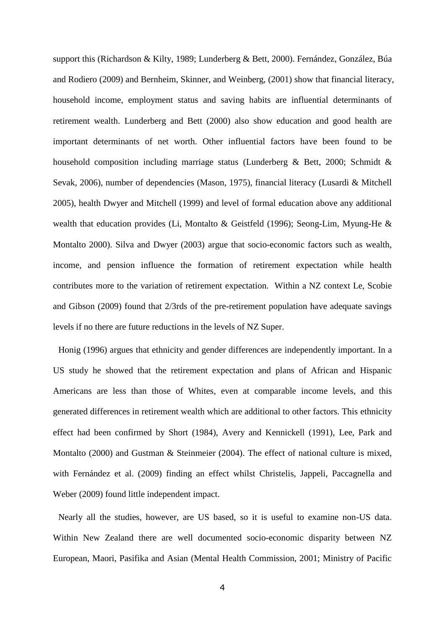support this (Richardson & Kilty, 1989; Lunderberg & Bett, 2000). Fernández, González, Búa and Rodiero (2009) and Bernheim, Skinner, and Weinberg, (2001) show that financial literacy, household income, employment status and saving habits are influential determinants of retirement wealth. Lunderberg and Bett (2000) also show education and good health are important determinants of net worth. Other influential factors have been found to be household composition including marriage status (Lunderberg & Bett, 2000; Schmidt & Sevak, [2006\)](http://oep.oxfordjournals.org/content/early/2010/04/07/oep.gpq007.full#ref-42), number of dependencies (Mason, 1975), financial literacy (Lusardi & Mitchell 2005), health Dwyer and Mitchell (1999) and level of formal education above any additional wealth that education provides (Li, Montalto & Geistfeld (1996); Seong-Lim, Myung-He & Montalto 2000). Silva and Dwyer (2003) argue that socio-economic factors such as wealth, income, and pension influence the formation of retirement expectation while health contributes more to the variation of retirement expectation. Within a NZ context Le, Scobie and Gibson (2009) found that 2/3rds of the pre-retirement population have adequate savings levels if no there are future reductions in the levels of NZ Super.

Honig (1996) argues that ethnicity and gender differences are independently important. In a US study he showed that the retirement expectation and plans of African and Hispanic Americans are less than those of Whites, even at comparable income levels, and this generated differences in retirement wealth which are additional to other factors. This ethnicity effect had been confirmed by Short (1984), Avery and Kennickell (1991), Lee, Park and Montalto (2000) and Gustman & Steinmeier (2004). The effect of national culture is mixed, with Fernández et al. (2009) finding an effect whilst Christelis, Jappeli, Paccagnella and Weber (2009) found little independent impact.

Nearly all the studies, however, are US based, so it is useful to examine non-US data. Within New Zealand there are well documented socio-economic disparity between NZ European, Maori, Pasifika and Asian (Mental Health Commission, 2001; Ministry of Pacific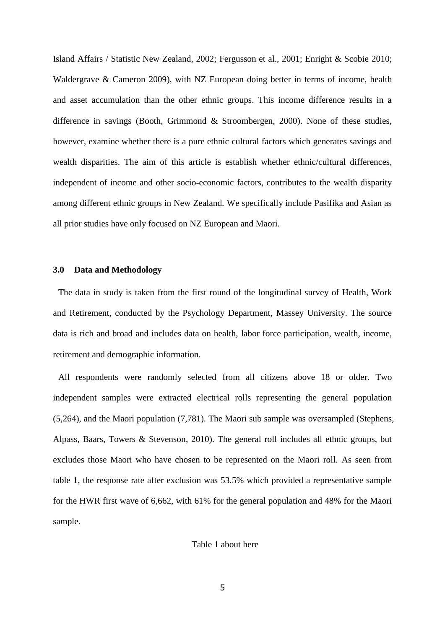Island Affairs / Statistic New Zealand, 2002; Fergusson et al., 2001; Enright & Scobie 2010; Waldergrave & Cameron 2009), with NZ European doing better in terms of income, health and asset accumulation than the other ethnic groups. This income difference results in a difference in savings (Booth, Grimmond & Stroombergen, 2000). None of these studies, however, examine whether there is a pure ethnic cultural factors which generates savings and wealth disparities. The aim of this article is establish whether ethnic/cultural differences, independent of income and other socio-economic factors, contributes to the wealth disparity among different ethnic groups in New Zealand. We specifically include Pasifika and Asian as all prior studies have only focused on NZ European and Maori.

#### **3.0 Data and Methodology**

The data in study is taken from the first round of the longitudinal survey of Health, Work and Retirement, conducted by the Psychology Department, Massey University. The source data is rich and broad and includes data on health, labor force participation, wealth, income, retirement and demographic information.

All respondents were randomly selected from all citizens above 18 or older. Two independent samples were extracted electrical rolls representing the general population (5,264), and the Maori population (7,781). The Maori sub sample was oversampled (Stephens, Alpass, Baars, Towers & Stevenson, 2010). The general roll includes all ethnic groups, but excludes those Maori who have chosen to be represented on the Maori roll. As seen from table 1, the response rate after exclusion was 53.5% which provided a representative sample for the HWR first wave of 6,662, with 61% for the general population and 48% for the Maori sample.

#### Table 1 about here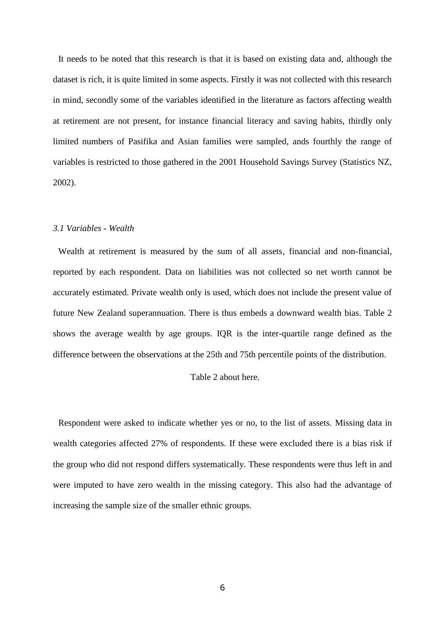It needs to be noted that this research is that it is based on existing data and, although the dataset is rich, it is quite limited in some aspects. Firstly it was not collected with this research in mind, secondly some of the variables identified in the literature as factors affecting wealth at retirement are not present, for instance financial literacy and saving habits, thirdly only limited numbers of Pasifika and Asian families were sampled, ands fourthly the range of variables is restricted to those gathered in the 2001 Household Savings Survey (Statistics NZ, 2002).

#### *3.1 Variables - Wealth*

Wealth at retirement is measured by the sum of all assets, financial and non-financial, reported by each respondent. Data on liabilities was not collected so net worth cannot be accurately estimated. Private wealth only is used, which does not include the present value of future New Zealand superannuation. There is thus embeds a downward wealth bias. Table 2 shows the average wealth by age groups. IQR is the inter-quartile range defined as the difference between the observations at the 25th and 75th percentile points of the distribution.

#### Table 2 about here.

Respondent were asked to indicate whether yes or no, to the list of assets. Missing data in wealth categories affected 27% of respondents. If these were excluded there is a bias risk if the group who did not respond differs systematically. These respondents were thus left in and were imputed to have zero wealth in the missing category. This also had the advantage of increasing the sample size of the smaller ethnic groups.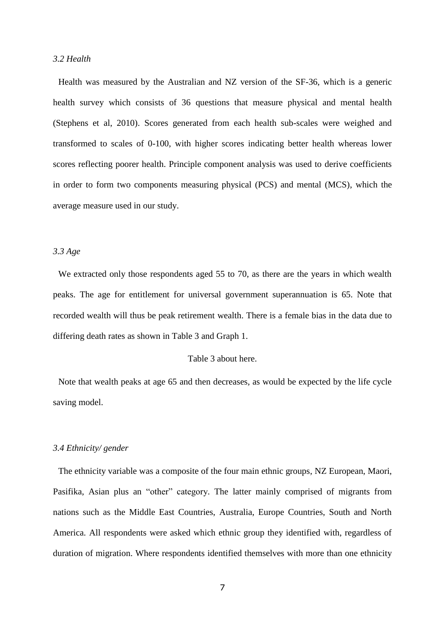### *3.2 Health*

Health was measured by the Australian and NZ version of the SF-36, which is a generic health survey which consists of 36 questions that measure physical and mental health (Stephens et al, 2010). Scores generated from each health sub-scales were weighed and transformed to scales of 0-100, with higher scores indicating better health whereas lower scores reflecting poorer health. Principle component analysis was used to derive coefficients in order to form two components measuring physical (PCS) and mental (MCS), which the average measure used in our study.

## *3.3 Age*

We extracted only those respondents aged 55 to 70, as there are the years in which wealth peaks. The age for entitlement for universal government superannuation is 65. Note that recorded wealth will thus be peak retirement wealth. There is a female bias in the data due to differing death rates as shown in Table 3 and Graph 1.

## Table 3 about here.

Note that wealth peaks at age 65 and then decreases, as would be expected by the life cycle saving model.

#### *3.4 Ethnicity/ gender*

The ethnicity variable was a composite of the four main ethnic groups, NZ European, Maori, Pasifika, Asian plus an "other" category. The latter mainly comprised of migrants from nations such as the Middle East Countries, Australia, Europe Countries, South and North America. All respondents were asked which ethnic group they identified with, regardless of duration of migration. Where respondents identified themselves with more than one ethnicity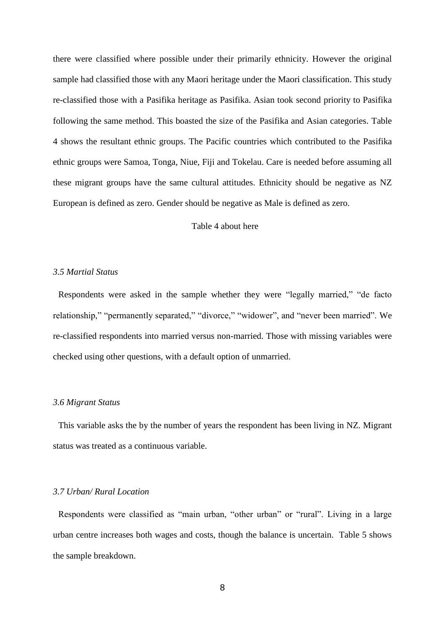there were classified where possible under their primarily ethnicity. However the original sample had classified those with any Maori heritage under the Maori classification. This study re-classified those with a Pasifika heritage as Pasifika. Asian took second priority to Pasifika following the same method. This boasted the size of the Pasifika and Asian categories. Table 4 shows the resultant ethnic groups. The Pacific countries which contributed to the Pasifika ethnic groups were Samoa, Tonga, Niue, Fiji and Tokelau. Care is needed before assuming all these migrant groups have the same cultural attitudes. Ethnicity should be negative as NZ European is defined as zero. Gender should be negative as Male is defined as zero.

## Table 4 about here

#### *3.5 Martial Status*

Respondents were asked in the sample whether they were "legally married," "de facto relationship," "permanently separated," "divorce," "widower", and "never been married". We re-classified respondents into married versus non-married. Those with missing variables were checked using other questions, with a default option of unmarried.

#### *3.6 Migrant Status*

This variable asks the by the number of years the respondent has been living in NZ. Migrant status was treated as a continuous variable.

## *3.7 Urban/ Rural Location*

Respondents were classified as "main urban, "other urban" or "rural". Living in a large urban centre increases both wages and costs, though the balance is uncertain. Table 5 shows the sample breakdown.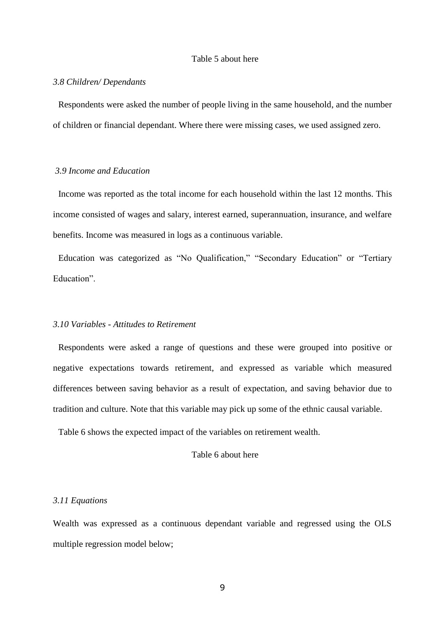### Table 5 about here

#### *3.8 Children/ Dependants*

Respondents were asked the number of people living in the same household, and the number of children or financial dependant. Where there were missing cases, we used assigned zero.

## *3.9 Income and Education*

Income was reported as the total income for each household within the last 12 months. This income consisted of wages and salary, interest earned, superannuation, insurance, and welfare benefits. Income was measured in logs as a continuous variable.

Education was categorized as "No Qualification," "Secondary Education" or "Tertiary Education".

### *3.10 Variables - Attitudes to Retirement*

Respondents were asked a range of questions and these were grouped into positive or negative expectations towards retirement, and expressed as variable which measured differences between saving behavior as a result of expectation, and saving behavior due to tradition and culture. Note that this variable may pick up some of the ethnic causal variable.

Table 6 shows the expected impact of the variables on retirement wealth.

## Table 6 about here

#### *3.11 Equations*

Wealth was expressed as a continuous dependant variable and regressed using the OLS multiple regression model below;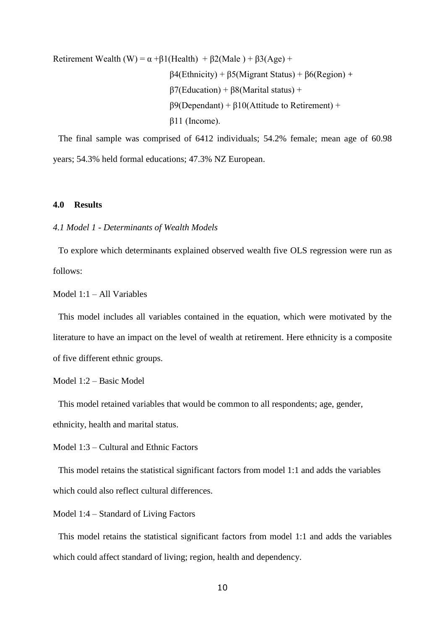Retirement Wealth (W) =  $\alpha$  + $\beta$ 1(Health) +  $\beta$ 2(Male) +  $\beta$ 3(Age) + β4(Ethnicity) + β5(Migrant Status) + β6(Region) + β7(Education) + β8(Marital status) + β9(Dependant) + β10(Attitude to Retirement) + β11 (Income).

The final sample was comprised of 6412 individuals; 54.2% female; mean age of 60.98 years; 54.3% held formal educations; 47.3% NZ European.

## **4.0 Results**

*4.1 Model 1 - Determinants of Wealth Models*

To explore which determinants explained observed wealth five OLS regression were run as follows:

Model 1:1 – All Variables

This model includes all variables contained in the equation, which were motivated by the literature to have an impact on the level of wealth at retirement. Here ethnicity is a composite of five different ethnic groups.

Model 1:2 – Basic Model

This model retained variables that would be common to all respondents; age, gender, ethnicity, health and marital status.

Model 1:3 – Cultural and Ethnic Factors

This model retains the statistical significant factors from model 1:1 and adds the variables which could also reflect cultural differences.

Model 1:4 – Standard of Living Factors

This model retains the statistical significant factors from model 1:1 and adds the variables which could affect standard of living; region, health and dependency.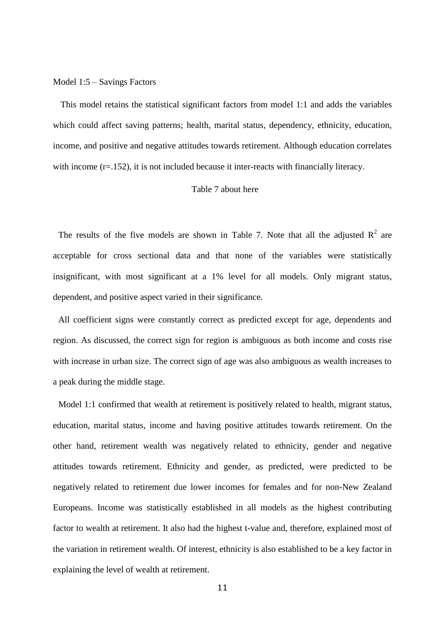#### Model 1:5 – Savings Factors

This model retains the statistical significant factors from model 1:1 and adds the variables which could affect saving patterns; health, marital status, dependency, ethnicity, education, income, and positive and negative attitudes towards retirement. Although education correlates with income (r=.152), it is not included because it inter-reacts with financially literacy.

#### Table 7 about here

The results of the five models are shown in Table 7. Note that all the adjusted  $R^2$  are acceptable for cross sectional data and that none of the variables were statistically insignificant, with most significant at a 1% level for all models. Only migrant status, dependent, and positive aspect varied in their significance.

All coefficient signs were constantly correct as predicted except for age, dependents and region. As discussed, the correct sign for region is ambiguous as both income and costs rise with increase in urban size. The correct sign of age was also ambiguous as wealth increases to a peak during the middle stage.

Model 1:1 confirmed that wealth at retirement is positively related to health, migrant status, education, marital status, income and having positive attitudes towards retirement. On the other hand, retirement wealth was negatively related to ethnicity, gender and negative attitudes towards retirement. Ethnicity and gender, as predicted, were predicted to be negatively related to retirement due lower incomes for females and for non-New Zealand Europeans. Income was statistically established in all models as the highest contributing factor to wealth at retirement. It also had the highest t-value and, therefore, explained most of the variation in retirement wealth. Of interest, ethnicity is also established to be a key factor in explaining the level of wealth at retirement.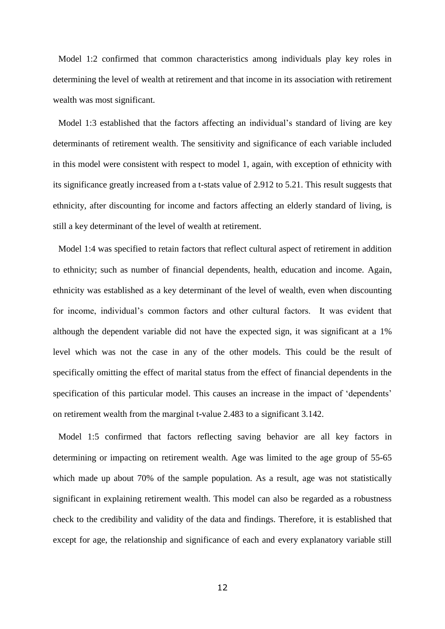Model 1:2 confirmed that common characteristics among individuals play key roles in determining the level of wealth at retirement and that income in its association with retirement wealth was most significant.

Model 1:3 established that the factors affecting an individual's standard of living are key determinants of retirement wealth. The sensitivity and significance of each variable included in this model were consistent with respect to model 1, again, with exception of ethnicity with its significance greatly increased from a t-stats value of 2.912 to 5.21. This result suggests that ethnicity, after discounting for income and factors affecting an elderly standard of living, is still a key determinant of the level of wealth at retirement.

Model 1:4 was specified to retain factors that reflect cultural aspect of retirement in addition to ethnicity; such as number of financial dependents, health, education and income. Again, ethnicity was established as a key determinant of the level of wealth, even when discounting for income, individual"s common factors and other cultural factors. It was evident that although the dependent variable did not have the expected sign, it was significant at a 1% level which was not the case in any of the other models. This could be the result of specifically omitting the effect of marital status from the effect of financial dependents in the specification of this particular model. This causes an increase in the impact of 'dependents' on retirement wealth from the marginal t-value 2.483 to a significant 3.142.

Model 1:5 confirmed that factors reflecting saving behavior are all key factors in determining or impacting on retirement wealth. Age was limited to the age group of 55-65 which made up about 70% of the sample population. As a result, age was not statistically significant in explaining retirement wealth. This model can also be regarded as a robustness check to the credibility and validity of the data and findings. Therefore, it is established that except for age, the relationship and significance of each and every explanatory variable still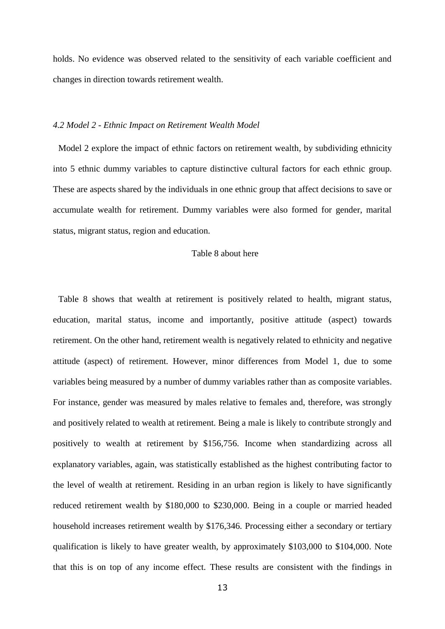holds. No evidence was observed related to the sensitivity of each variable coefficient and changes in direction towards retirement wealth.

#### *4.2 Model 2 - Ethnic Impact on Retirement Wealth Model*

Model 2 explore the impact of ethnic factors on retirement wealth, by subdividing ethnicity into 5 ethnic dummy variables to capture distinctive cultural factors for each ethnic group. These are aspects shared by the individuals in one ethnic group that affect decisions to save or accumulate wealth for retirement. Dummy variables were also formed for gender, marital status, migrant status, region and education.

#### Table 8 about here

Table 8 shows that wealth at retirement is positively related to health, migrant status, education, marital status, income and importantly, positive attitude (aspect) towards retirement. On the other hand, retirement wealth is negatively related to ethnicity and negative attitude (aspect) of retirement. However, minor differences from Model 1, due to some variables being measured by a number of dummy variables rather than as composite variables. For instance, gender was measured by males relative to females and, therefore, was strongly and positively related to wealth at retirement. Being a male is likely to contribute strongly and positively to wealth at retirement by \$156,756. Income when standardizing across all explanatory variables, again, was statistically established as the highest contributing factor to the level of wealth at retirement. Residing in an urban region is likely to have significantly reduced retirement wealth by \$180,000 to \$230,000. Being in a couple or married headed household increases retirement wealth by \$176,346. Processing either a secondary or tertiary qualification is likely to have greater wealth, by approximately \$103,000 to \$104,000. Note that this is on top of any income effect. These results are consistent with the findings in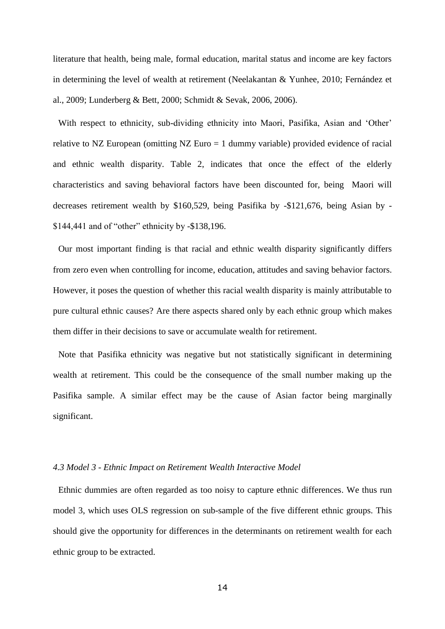literature that health, being male, formal education, marital status and income are key factors in determining the level of wealth at retirement (Neelakantan & Yunhee, 2010; Fernández et al., 2009; Lunderberg & Bett, 2000; Schmidt & Sevak, [2006,](http://oep.oxfordjournals.org/content/early/2010/04/07/oep.gpq007.full#ref-42) 2006).

With respect to ethnicity, sub-dividing ethnicity into Maori, Pasifika, Asian and 'Other' relative to NZ European (omitting NZ Euro = 1 dummy variable) provided evidence of racial and ethnic wealth disparity. Table 2, indicates that once the effect of the elderly characteristics and saving behavioral factors have been discounted for, being Maori will decreases retirement wealth by \$160,529, being Pasifika by -\$121,676, being Asian by - \$144,441 and of "other" ethnicity by -\$138,196.

Our most important finding is that racial and ethnic wealth disparity significantly differs from zero even when controlling for income, education, attitudes and saving behavior factors. However, it poses the question of whether this racial wealth disparity is mainly attributable to pure cultural ethnic causes? Are there aspects shared only by each ethnic group which makes them differ in their decisions to save or accumulate wealth for retirement.

Note that Pasifika ethnicity was negative but not statistically significant in determining wealth at retirement. This could be the consequence of the small number making up the Pasifika sample. A similar effect may be the cause of Asian factor being marginally significant.

#### *4.3 Model 3 - Ethnic Impact on Retirement Wealth Interactive Model*

Ethnic dummies are often regarded as too noisy to capture ethnic differences. We thus run model 3, which uses OLS regression on sub-sample of the five different ethnic groups. This should give the opportunity for differences in the determinants on retirement wealth for each ethnic group to be extracted.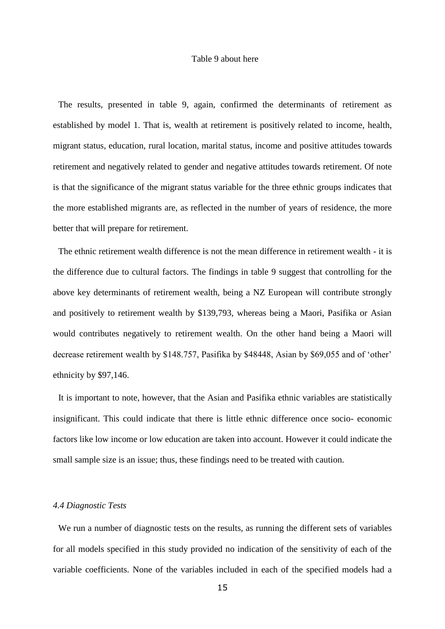#### Table 9 about here

The results, presented in table 9, again, confirmed the determinants of retirement as established by model 1. That is, wealth at retirement is positively related to income, health, migrant status, education, rural location, marital status, income and positive attitudes towards retirement and negatively related to gender and negative attitudes towards retirement. Of note is that the significance of the migrant status variable for the three ethnic groups indicates that the more established migrants are, as reflected in the number of years of residence, the more better that will prepare for retirement.

The ethnic retirement wealth difference is not the mean difference in retirement wealth - it is the difference due to cultural factors. The findings in table 9 suggest that controlling for the above key determinants of retirement wealth, being a NZ European will contribute strongly and positively to retirement wealth by \$139,793, whereas being a Maori, Pasifika or Asian would contributes negatively to retirement wealth. On the other hand being a Maori will decrease retirement wealth by \$148.757, Pasifika by \$48448, Asian by \$69,055 and of "other" ethnicity by \$97,146.

It is important to note, however, that the Asian and Pasifika ethnic variables are statistically insignificant. This could indicate that there is little ethnic difference once socio- economic factors like low income or low education are taken into account. However it could indicate the small sample size is an issue; thus, these findings need to be treated with caution.

### *4.4 Diagnostic Tests*

We run a number of diagnostic tests on the results, as running the different sets of variables for all models specified in this study provided no indication of the sensitivity of each of the variable coefficients. None of the variables included in each of the specified models had a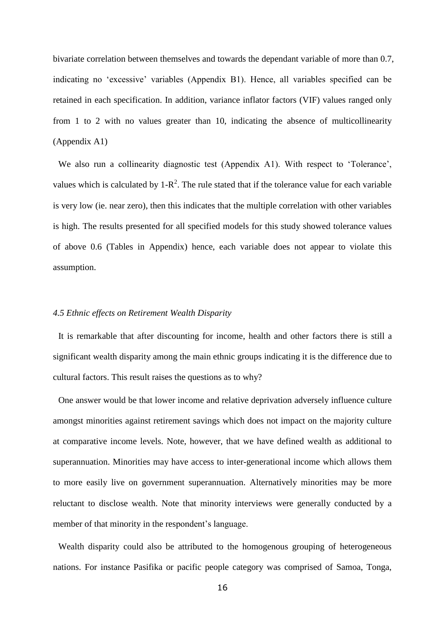bivariate correlation between themselves and towards the dependant variable of more than 0.7, indicating no "excessive" variables (Appendix B1). Hence, all variables specified can be retained in each specification. In addition, variance inflator factors (VIF) values ranged only from 1 to 2 with no values greater than 10, indicating the absence of multicollinearity (Appendix A1)

We also run a collinearity diagnostic test (Appendix A1). With respect to 'Tolerance', values which is calculated by  $1-R^2$ . The rule stated that if the tolerance value for each variable is very low (ie. near zero), then this indicates that the multiple correlation with other variables is high. The results presented for all specified models for this study showed tolerance values of above 0.6 (Tables in Appendix) hence, each variable does not appear to violate this assumption.

### *4.5 Ethnic effects on Retirement Wealth Disparity*

It is remarkable that after discounting for income, health and other factors there is still a significant wealth disparity among the main ethnic groups indicating it is the difference due to cultural factors. This result raises the questions as to why?

One answer would be that lower income and relative deprivation adversely influence culture amongst minorities against retirement savings which does not impact on the majority culture at comparative income levels. Note, however, that we have defined wealth as additional to superannuation. Minorities may have access to inter-generational income which allows them to more easily live on government superannuation. Alternatively minorities may be more reluctant to disclose wealth. Note that minority interviews were generally conducted by a member of that minority in the respondent's language.

Wealth disparity could also be attributed to the homogenous grouping of heterogeneous nations. For instance Pasifika or pacific people category was comprised of Samoa, Tonga,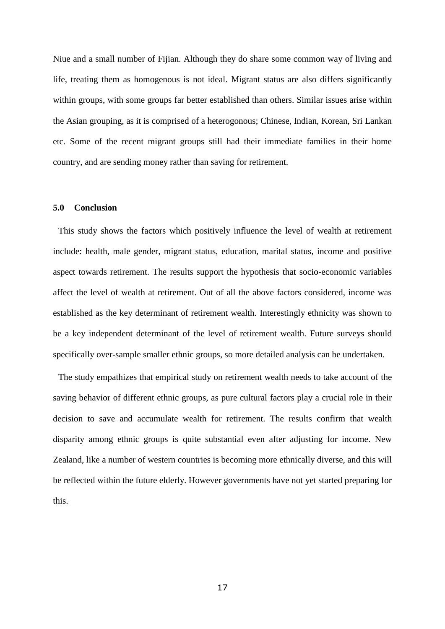Niue and a small number of Fijian. Although they do share some common way of living and life, treating them as homogenous is not ideal. Migrant status are also differs significantly within groups, with some groups far better established than others. Similar issues arise within the Asian grouping, as it is comprised of a heterogonous; Chinese, Indian, Korean, Sri Lankan etc. Some of the recent migrant groups still had their immediate families in their home country, and are sending money rather than saving for retirement.

### **5.0 Conclusion**

This study shows the factors which positively influence the level of wealth at retirement include: health, male gender, migrant status, education, marital status, income and positive aspect towards retirement. The results support the hypothesis that socio-economic variables affect the level of wealth at retirement. Out of all the above factors considered, income was established as the key determinant of retirement wealth. Interestingly ethnicity was shown to be a key independent determinant of the level of retirement wealth. Future surveys should specifically over-sample smaller ethnic groups, so more detailed analysis can be undertaken.

The study empathizes that empirical study on retirement wealth needs to take account of the saving behavior of different ethnic groups, as pure cultural factors play a crucial role in their decision to save and accumulate wealth for retirement. The results confirm that wealth disparity among ethnic groups is quite substantial even after adjusting for income. New Zealand, like a number of western countries is becoming more ethnically diverse, and this will be reflected within the future elderly. However governments have not yet started preparing for this.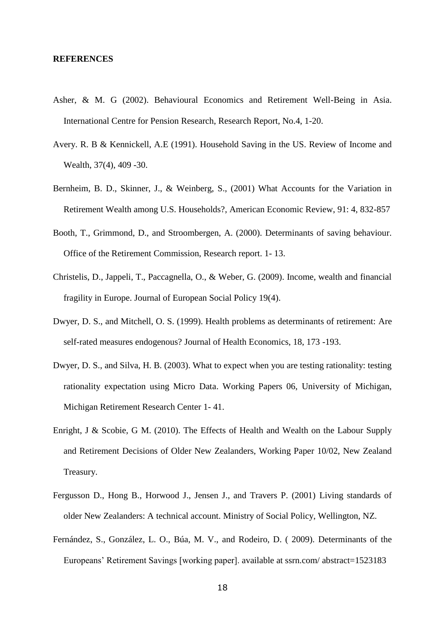#### **REFERENCES**

- Asher, & M. G (2002). Behavioural Economics and Retirement Well-Being in Asia. International Centre for Pension Research, Research Report, No.4, 1-20.
- Avery. R. B & Kennickell, A.E (1991). Household Saving in the US. Review of Income and Wealth, 37(4), 409 -30.
- Bernheim, B. D., Skinner, J., & Weinberg, S., (2001) What Accounts for the Variation in Retirement Wealth among U.S. Households?, American Economic Review, 91: 4, 832-857
- Booth, T., Grimmond, D., and Stroombergen, A. (2000). Determinants of saving behaviour. Office of the Retirement Commission, Research report. 1- 13.
- Christelis, D., Jappeli, T., Paccagnella, O., & Weber, G. (2009). Income, wealth and financial fragility in Europe. Journal of European Social Policy 19(4).
- Dwyer, D. S., and Mitchell, O. S. (1999). Health problems as determinants of retirement: Are self-rated measures endogenous? Journal of Health Economics, 18, 173 -193.
- Dwyer, D. S., and Silva, H. B. (2003). What to expect when you are testing rationality: testing rationality expectation using Micro Data. Working Papers 06, [University of Michigan,](http://www.mrrc.isr.umich.edu/publications/papers/)  [Michigan Retirement Research Center](http://www.mrrc.isr.umich.edu/publications/papers/) 1- 41.
- Enright, J & Scobie, G M. (2010). The Effects of Health and Wealth on the Labour Supply and Retirement Decisions of Older New Zealanders, Working Paper 10/02, New Zealand Treasury.
- Fergusson D., Hong B., Horwood J., Jensen J., and Travers P. (2001) Living standards of older New Zealanders: A technical account. Ministry of Social Policy, Wellington, NZ.
- Fernández, S., González, L. O., Búa, M. V., and Rodeiro, D. ( 2009). Determinants of the Europeans' Retirement Savings [working paper]. available at ssrn.com/abstract=1523183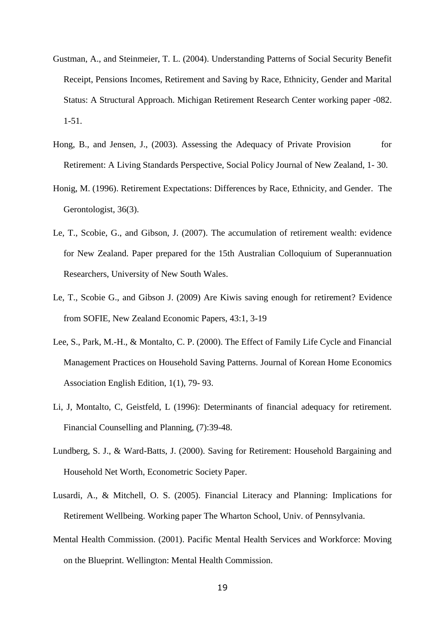- Gustman, A., and Steinmeier, T. L. (2004). Understanding Patterns of Social Security Benefit Receipt, Pensions Incomes, Retirement and Saving by Race, Ethnicity, Gender and Marital Status: A Structural Approach. Michigan Retirement Research Center working paper -082. 1-51.
- Hong, B., and Jensen, J., (2003). Assessing the Adequacy of Private Provision for Retirement: A Living Standards Perspective, Social Policy Journal of New Zealand, 1- 30.
- Honig, M. (1996). Retirement Expectations: Differences by Race, Ethnicity, and Gender. The Gerontologist, 36(3).
- Le, T., Scobie, G., and Gibson, J. (2007). The accumulation of retirement wealth: evidence for New Zealand. Paper prepared for the 15th Australian Colloquium of Superannuation Researchers, University of New South Wales.
- Le, T., Scobie G., and Gibson J. (2009) Are Kiwis saving enough for retirement? Evidence from SOFIE, New Zealand Economic Papers, 43:1, 3-19
- Lee, S., Park, M.-H., & Montalto, C. P. (2000). The Effect of Family Life Cycle and Financial Management Practices on Household Saving Patterns. Journal of Korean Home Economics Association English Edition, 1(1), 79- 93.
- Li, J, Montalto, C, Geistfeld, L (1996): Determinants of financial adequacy for retirement. Financial Counselling and Planning, (7):39-48.
- Lundberg, S. J., & Ward-Batts, J. (2000). Saving for Retirement: Household Bargaining and Household Net Worth, Econometric Society Paper.
- Lusardi, A., & Mitchell, O. S. (2005). Financial Literacy and Planning: Implications for Retirement Wellbeing. Working paper The Wharton School, Univ. of Pennsylvania.
- Mental Health Commission. (2001). Pacific Mental Health Services and Workforce: Moving on the Blueprint. Wellington: Mental Health Commission.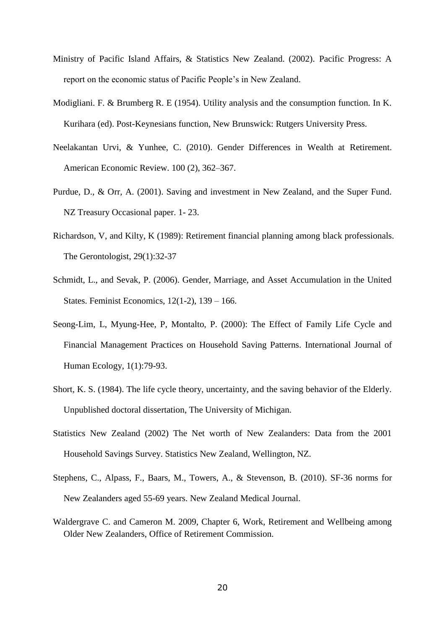- Ministry of Pacific Island Affairs, & Statistics New Zealand. (2002). Pacific Progress: A report on the economic status of Pacific People"s in New Zealand.
- Modigliani. F. & Brumberg R. E (1954). Utility analysis and the consumption function. In K. Kurihara (ed). Post-Keynesians function, New Brunswick: Rutgers University Press.
- Neelakantan Urvi, & Yunhee, C. (2010). Gender Differences in Wealth at Retirement. American Economic Review. 100 (2), 362–367.
- Purdue, D., & Orr, A. (2001). Saving and investment in New Zealand, and the Super Fund. NZ Treasury Occasional paper. 1- 23.
- Richardson, V, and Kilty, K (1989): Retirement financial planning among black professionals. The Gerontologist, 29(1):32-37
- Schmidt, L., and Sevak, P. (2006). Gender, Marriage, and Asset Accumulation in the United States. Feminist Economics, 12(1-2), 139 – 166.
- Seong-Lim, L, Myung-Hee, P, Montalto, P. (2000): The Effect of Family Life Cycle and Financial Management Practices on Household Saving Patterns. International Journal of Human Ecology, 1(1):79-93.
- Short, K. S. (1984). The life cycle theory, uncertainty, and the saving behavior of the Elderly. Unpublished doctoral dissertation, The University of Michigan.
- Statistics New Zealand (2002) The Net worth of New Zealanders: Data from the 2001 Household Savings Survey. Statistics New Zealand, Wellington, NZ.
- Stephens, C., Alpass, F., Baars, M., Towers, A., & Stevenson, B. (2010). SF-36 norms for New Zealanders aged 55-69 years. New Zealand Medical Journal.
- Waldergrave C. and Cameron M. 2009, Chapter 6, Work, Retirement and Wellbeing among Older New Zealanders, Office of Retirement Commission.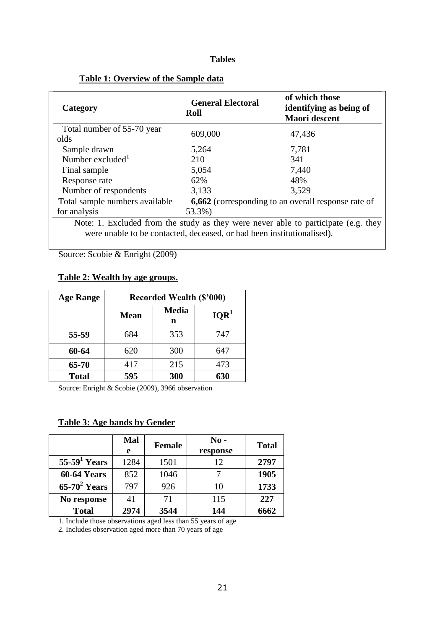## **Tables**

| Category                                                               | <b>General Electoral</b><br>Roll | of which those<br>identifying as being of<br>Maori descent                         |
|------------------------------------------------------------------------|----------------------------------|------------------------------------------------------------------------------------|
| Total number of 55-70 year                                             | 609,000                          | 47,436                                                                             |
| olds                                                                   |                                  |                                                                                    |
| Sample drawn                                                           | 5,264                            | 7,781                                                                              |
| Number excluded $^1$                                                   | 210                              | 341                                                                                |
| Final sample                                                           | 5,054                            | 7,440                                                                              |
| Response rate                                                          | 62%                              | 48%                                                                                |
| Number of respondents                                                  | 3,133                            | 3,529                                                                              |
| Total sample numbers available                                         |                                  | <b>6,662</b> (corresponding to an overall response rate of                         |
| for analysis                                                           | 53.3%)                           |                                                                                    |
|                                                                        |                                  | Note: 1. Excluded from the study as they were never able to participate (e.g. they |
| were unable to be contacted, deceased, or had been institutionalised). |                                  |                                                                                    |

## **Table 1: Overview of the Sample data**

Source: Scobie & Enright (2009)

## **Table 2: Wealth by age groups.**

| <b>Age Range</b> |             | <b>Recorded Wealth (\$'000)</b> |                  |
|------------------|-------------|---------------------------------|------------------|
|                  | <b>Mean</b> | <b>Media</b><br>n               | IQR <sup>1</sup> |
| 55-59            | 684         | 353                             | 747              |
| 60-64            | 620         | 300                             | 647              |
| 65-70            | 417         | 215                             | 473              |
| <b>Total</b>     | 595         | 300                             | 630              |

Source: Enright & Scobie (2009), 3966 observation

## **Table 3: Age bands by Gender**

|                    | Mal<br>e | <b>Female</b> | $\bf No$ -<br>response | <b>Total</b> |
|--------------------|----------|---------------|------------------------|--------------|
| $55-591 Years$     | 1284     | 1501          | 12                     | 2797         |
| <b>60-64 Years</b> | 852      | 1046          |                        | 1905         |
| $65-70^2$ Years    | 797      | 926           | 10                     | 1733         |
| No response        | 41       | 71            | 115                    | 227          |
| <b>Total</b>       | 2974     | 3544          | 144                    | 6662         |

1. Include those observations aged less than 55 years of age

2. Includes observation aged more than 70 years of age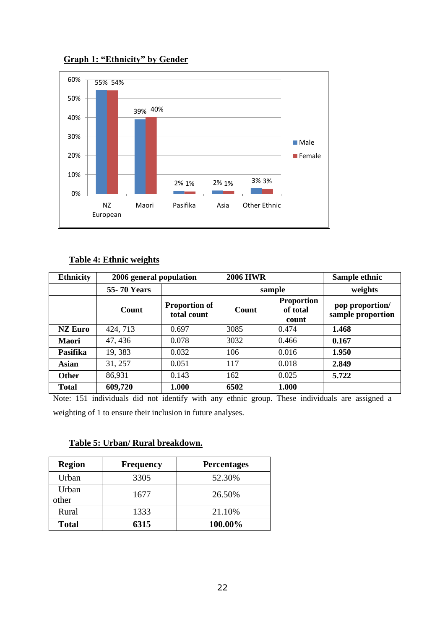

## **Graph 1: "Ethnicity" by Gender**

## **Table 4: Ethnic weights**

| <b>Ethnicity</b> | 2006 general population |                                     | <b>2006 HWR</b> |                                        | Sample ethnic                        |
|------------------|-------------------------|-------------------------------------|-----------------|----------------------------------------|--------------------------------------|
|                  | <b>55-70 Years</b>      |                                     |                 | sample                                 | weights                              |
|                  | Count                   | <b>Proportion of</b><br>total count | Count           | <b>Proportion</b><br>of total<br>count | pop proportion/<br>sample proportion |
| <b>NZ Euro</b>   | 424, 713                | 0.697                               | 3085            | 0.474                                  | 1.468                                |
| Maori            | 47, 436                 | 0.078                               | 3032            | 0.466                                  | 0.167                                |
| Pasifika         | 19,383                  | 0.032                               | 106             | 0.016                                  | 1.950                                |
| Asian            | 31, 257                 | 0.051                               | 117             | 0.018                                  | 2.849                                |
| <b>Other</b>     | 86,931                  | 0.143                               | 162             | 0.025                                  | 5.722                                |
| <b>Total</b>     | 609,720                 | 1.000                               | 6502            | 1.000                                  |                                      |

Note: 151 individuals did not identify with any ethnic group. These individuals are assigned a weighting of 1 to ensure their inclusion in future analyses.

## **Table 5: Urban/ Rural breakdown.**

| <b>Region</b>  | <b>Frequency</b> | <b>Percentages</b> |
|----------------|------------------|--------------------|
| Urban          | 3305             | 52.30%             |
| Urban<br>other | 1677             | 26.50%             |
| Rural          | 1333             | 21.10%             |
| <b>Total</b>   | 6315             | 100.00%            |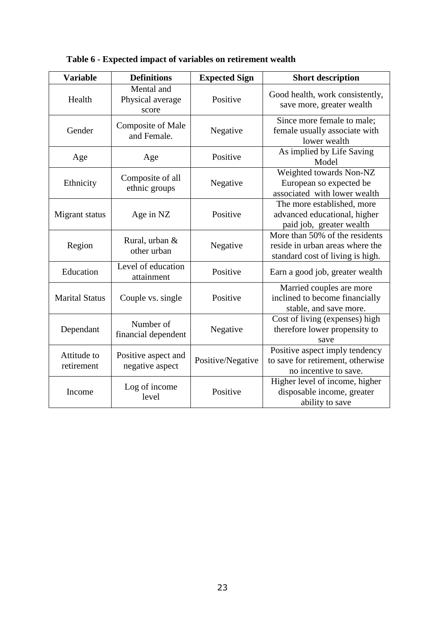| <b>Variable</b>           | <b>Definitions</b>                      | <b>Expected Sign</b> | <b>Short description</b>                                                                              |
|---------------------------|-----------------------------------------|----------------------|-------------------------------------------------------------------------------------------------------|
| Health                    | Mental and<br>Physical average<br>score | Positive             | Good health, work consistently,<br>save more, greater wealth                                          |
| Gender                    | <b>Composite of Male</b><br>and Female. | Negative             | Since more female to male;<br>female usually associate with<br>lower wealth                           |
| Age                       | Age                                     | Positive             | As implied by Life Saving<br>Model                                                                    |
| Ethnicity                 | Composite of all<br>ethnic groups       | Negative             | Weighted towards Non-NZ<br>European so expected be<br>associated with lower wealth                    |
| Migrant status            | Age in NZ                               | Positive             | The more established, more<br>advanced educational, higher<br>paid job, greater wealth                |
| Region                    | Rural, urban &<br>other urban           | Negative             | More than 50% of the residents<br>reside in urban areas where the<br>standard cost of living is high. |
| Education                 | Level of education<br>attainment        | Positive             | Earn a good job, greater wealth                                                                       |
| <b>Marital Status</b>     | Couple vs. single                       | Positive             | Married couples are more<br>inclined to become financially<br>stable, and save more.                  |
| Dependant                 | Number of<br>financial dependent        | Negative             | Cost of living (expenses) high<br>therefore lower propensity to<br>save                               |
| Attitude to<br>retirement | Positive aspect and<br>negative aspect  | Positive/Negative    | Positive aspect imply tendency<br>to save for retirement, otherwise<br>no incentive to save.          |
| Income                    | Log of income<br>level                  | Positive             | Higher level of income, higher<br>disposable income, greater<br>ability to save                       |

**Table 6 - Expected impact of variables on retirement wealth**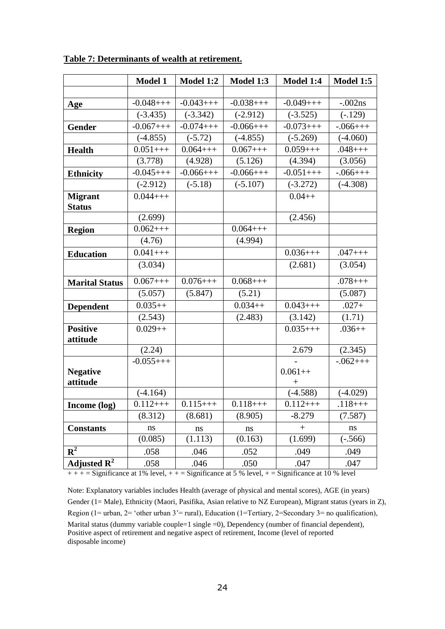|                         | <b>Model 1</b> | Model 1:2     | Model 1:3     | Model 1:4            | <b>Model 1:5</b> |
|-------------------------|----------------|---------------|---------------|----------------------|------------------|
|                         |                |               |               |                      |                  |
| Age                     | $-0.048++$     | $-0.043++$    | $-0.038++$    | $-0.049++$           | $-.002ns$        |
|                         | $(-3.435)$     | $(-3.342)$    | $(-2.912)$    | $(-3.525)$           | $(-.129)$        |
| <b>Gender</b>           | $-0.067++$     | $-0.074++$    | $-0.066++$    | $-0.073++$           | $-.066++$        |
|                         | $(-4.855)$     | $(-5.72)$     | $(-4.855)$    | $(-5.269)$           | $(-4.060)$       |
| <b>Health</b>           | $0.051++$      | $0.064++$     | $0.067++$     | $0.059++$            | $.048++$         |
|                         | (3.778)        | (4.928)       | (5.126)       | (4.394)              | (3.056)          |
| <b>Ethnicity</b>        | $-0.045++$     | $-0.066++$    | $-0.066++$    | $-0.051++$           | $-.066++$        |
|                         | $(-2.912)$     | $(-5.18)$     | $(-5.107)$    | $(-3.272)$           | $(-4.308)$       |
| <b>Migrant</b>          | $0.044++$      |               |               | $0.04++$             |                  |
| <b>Status</b>           |                |               |               |                      |                  |
|                         | (2.699)        |               |               | (2.456)              |                  |
| <b>Region</b>           | $0.062++$      |               | $0.064++$     |                      |                  |
|                         | (4.76)         |               | (4.994)       |                      |                  |
| <b>Education</b>        | $0.041++$      |               |               | $0.036++$            | $.047++$         |
|                         | (3.034)        |               |               | (2.681)              | (3.054)          |
| <b>Marital Status</b>   | $0.067++$      | $0.076++$     | $0.068++$     |                      | $.078++$         |
|                         | (5.057)        | (5.847)       | (5.21)        |                      | (5.087)          |
| <b>Dependent</b>        | $0.035++$      |               | $0.034++$     | $0.043++$            | $.027+$          |
|                         | (2.543)        |               | (2.483)       | (3.142)              | (1.71)           |
| <b>Positive</b>         | $0.029++$      |               |               | $0.035++$            | $.036++$         |
| attitude                |                |               |               |                      |                  |
|                         | (2.24)         |               |               | 2.679                | (2.345)          |
|                         | $-0.055++$     |               |               |                      | $-.062+++$       |
| <b>Negative</b>         |                |               |               | $0.061++$            |                  |
| attitude                | $(-4.164)$     |               |               | $^{+}$<br>$(-4.588)$ | $(-4.029)$       |
|                         | $0.112++$      | $0.115++$     | $0.118++$     | $0.112++$            | $.118++$         |
| Income (log)            | (8.312)        |               | (8.905)       | $-8.279$             | (7.587)          |
|                         |                | (8.681)       |               |                      |                  |
| <b>Constants</b>        | ns             | ns<br>(1.113) | ns<br>(0.163) | $\boldsymbol{+}$     | ns               |
|                         | (0.085)        |               |               | (1.699)              | $(-.566)$        |
| ${\bf R}^2$             | .058           | .046          | .052          | .049                 | .049             |
| Adjusted $\mathbf{R}^2$ | .058           | .046          | .050          | .047                 | .047             |

**Table 7: Determinants of wealth at retirement.**

 $+++$  = Significance at 1% level,  $++$  = Significance at 5 % level,  $+=$  Significance at 10 % level

Note: Explanatory variables includes Health (average of physical and mental scores), AGE (in years) Gender (1= Male), Ethnicity (Maori, Pasifika, Asian relative to NZ European), Migrant status (years in Z), Region (1= urban, 2= 'other urban 3'= rural), Education (1=Tertiary, 2=Secondary 3= no qualification), Marital status (dummy variable couple=1 single =0), Dependency (number of financial dependent), Positive aspect of retirement and negative aspect of retirement, Income (level of reported disposable income)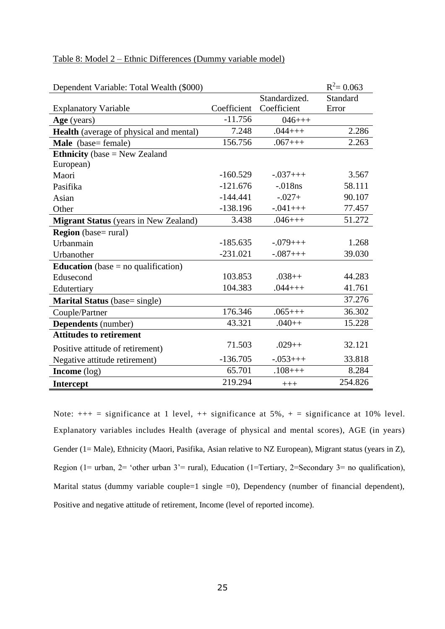| Dependent Variable: Total Wealth (\$000)     |             |               | $R^2 = 0.063$ |
|----------------------------------------------|-------------|---------------|---------------|
|                                              |             | Standardized. | Standard      |
| <b>Explanatory Variable</b>                  | Coefficient | Coefficient   | Error         |
| Age (years)                                  | $-11.756$   | $046++$       |               |
| Health (average of physical and mental)      | 7.248       | $.044++$      | 2.286         |
| Male (base= female)                          | 156.756     | $.067++$      | 2.263         |
| <b>Ethnicity</b> (base $=$ New Zealand       |             |               |               |
| European)                                    |             |               |               |
| Maori                                        | $-160.529$  | $-.037+++$    | 3.567         |
| Pasifika                                     | $-121.676$  | $-.018ns$     | 58.111        |
| Asian                                        | $-144.441$  | $-.027+$      | 90.107        |
| Other                                        | $-138.196$  | $-.041++$     | 77.457        |
| <b>Migrant Status</b> (years in New Zealand) | 3.438       | $.046++$      | 51.272        |
| <b>Region</b> (base= rural)                  |             |               |               |
| Urbanmain                                    | $-185.635$  | $-.079+++$    | 1.268         |
| Urbanother                                   | $-231.021$  | $-.087++$     | 39.030        |
| <b>Education</b> (base $=$ no qualification) |             |               |               |
| Edusecond                                    | 103.853     | $.038++$      | 44.283        |
| Edutertiary                                  | 104.383     | $.044++$      | 41.761        |
| Marital Status (base= single)                |             |               | 37.276        |
| Couple/Partner                               | 176.346     | $.065++$      | 36.302        |
| <b>Dependents</b> (number)                   | 43.321      | $.040++$      | 15.228        |
| <b>Attitudes to retirement</b>               |             |               |               |
| Positive attitude of retirement)             | 71.503      | $.029++$      | 32.121        |
| Negative attitude retirement)                | $-136.705$  | $-0.053++$    | 33.818        |
| <b>Income</b> (log)                          | 65.701      | $.108++$      | 8.284         |
| <b>Intercept</b>                             | 219.294     | $+++$         | 254.826       |

## Table 8: Model 2 – Ethnic Differences (Dummy variable model)

Note:  $++$  = significance at 1 level,  $++$  significance at 5%,  $+$  = significance at 10% level. Explanatory variables includes Health (average of physical and mental scores), AGE (in years) Gender (1= Male), Ethnicity (Maori, Pasifika, Asian relative to NZ European), Migrant status (years in Z), Region (1= urban, 2= 'other urban 3'= rural), Education (1=Tertiary, 2=Secondary 3= no qualification), Marital status (dummy variable couple=1 single =0), Dependency (number of financial dependent), Positive and negative attitude of retirement, Income (level of reported income).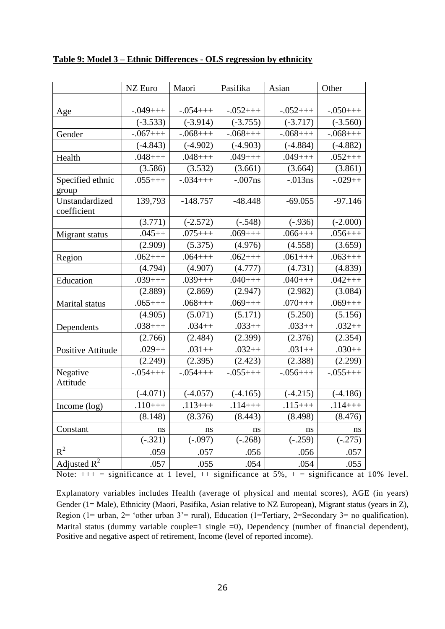|                               | NZ Euro               | Maori      | Pasifika   | Asian      | Other      |
|-------------------------------|-----------------------|------------|------------|------------|------------|
|                               |                       |            |            |            |            |
| Age                           | $-.049++$             | $-0.054++$ | $-.052+++$ | $-.052+++$ | $-.050++$  |
|                               | $\overline{(-3.533)}$ | $(-3.914)$ | $(-3.755)$ | $(-3.717)$ | $(-3.560)$ |
| Gender                        | $-.067++$             | $-.068++$  | $-.068++$  | $-.068++$  | $-.068++$  |
|                               | $(-4.843)$            | $(-4.902)$ | $(-4.903)$ | $(-4.884)$ | $(-4.882)$ |
| Health                        | $.048++$              | $.048++$   | $.049++$   | $.049++$   | $.052++$   |
|                               | (3.586)               | (3.532)    | (3.661)    | (3.664)    | (3.861)    |
| Specified ethnic<br>group     | $.055++$              | $-.034+++$ | $-.007ns$  | $-.013ns$  | $-.029++$  |
| Unstandardized<br>coefficient | 139,793               | $-148.757$ | $-48.448$  | $-69.055$  | $-97.146$  |
|                               | (3.771)               | $(-2.572)$ | $(-.548)$  | $(-.936)$  | $(-2.000)$ |
| Migrant status                | $.045++$              | $.075++$   | $.069++$   | $.066++$   | $.056++$   |
|                               | (2.909)               | (5.375)    | (4.976)    | (4.558)    | (3.659)    |
| Region                        | $.062++$              | $.064++$   | $.062++$   | $.061++$   | $.063++$   |
|                               | (4.794)               | (4.907)    | (4.777)    | (4.731)    | (4.839)    |
| Education                     | $.039++$              | $.039++$   | $.040++$   | $.040++$   | $.042++$   |
|                               | (2.889)               | (2.869)    | (2.947)    | (2.982)    | (3.084)    |
| Marital status                | $.065++$              | $.068++$   | $.069++$   | $.070++$   | $.069++$   |
|                               | (4.905)               | (5.071)    | (5.171)    | (5.250)    | (5.156)    |
| Dependents                    | $.038++$              | $.034++$   | $.033++$   | $.033++$   | $.032++$   |
|                               | (2.766)               | (2.484)    | (2.399)    | (2.376)    | (2.354)    |
| Positive Attitude             | $.029++$              | $.031++$   | $.032++$   | $.031++$   | $.030++$   |
|                               | (2.249)               | (2.395)    | (2.423)    | (2.388)    | (2.299)    |
| Negative<br>Attitude          | $-.054++$             | $-.054++$  | $-.055+++$ | $-.056++$  | $-.055+++$ |
|                               | $(-4.071)$            | $(-4.057)$ | $(-4.165)$ | $(-4.215)$ | $(-4.186)$ |
| Income (log)                  | $.110++$              | $.113++$   | $.114++$   | $.115++$   | $.114++$   |
|                               | (8.148)               | (8.376)    | (8.443)    | (8.498)    | (8.476)    |
| Constant                      | ns                    | ns         | ns         | ns         | ns         |
|                               | $\overline{(-.321)}$  | $(-.097)$  | $(-.268)$  | $(-.259)$  | $(-.275)$  |
| $R^2$                         | .059                  | .057       | .056       | .056       | .057       |
| Adjusted $R^2$                | .057                  | .055       | .054       | .054       | .055       |

## **Table 9: Model 3 – Ethnic Differences - OLS regression by ethnicity**

Note:  $++$  = significance at 1 level,  $++$  significance at 5%,  $+$  = significance at 10% level.

Explanatory variables includes Health (average of physical and mental scores), AGE (in years) Gender (1= Male), Ethnicity (Maori, Pasifika, Asian relative to NZ European), Migrant status (years in Z), Region (1= urban, 2= 'other urban 3'= rural), Education (1=Tertiary, 2=Secondary 3= no qualification), Marital status (dummy variable couple=1 single =0), Dependency (number of financial dependent), Positive and negative aspect of retirement, Income (level of reported income).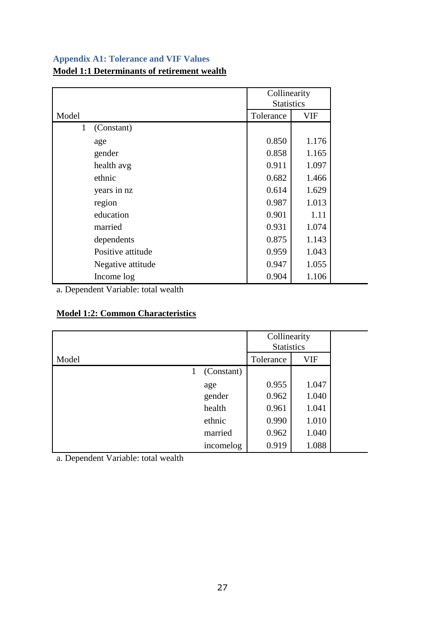## **Appendix A1: Tolerance and VIF Values**

## **Model 1:1 Determinants of retirement wealth**

|              |                   | Collinearity<br><b>Statistics</b> |       |
|--------------|-------------------|-----------------------------------|-------|
| Model        |                   | Tolerance                         | VIF   |
| $\mathbf{1}$ | (Constant)        |                                   |       |
|              | age               | 0.850                             | 1.176 |
|              | gender            | 0.858                             | 1.165 |
|              | health avg        | 0.911                             | 1.097 |
|              | ethnic            | 0.682                             | 1.466 |
|              | years in nz       | 0.614                             | 1.629 |
|              | region            | 0.987                             | 1.013 |
|              | education         | 0.901                             | 1.11  |
|              | married           | 0.931                             | 1.074 |
|              | dependents        | 0.875                             | 1.143 |
|              | Positive attitude | 0.959                             | 1.043 |
|              | Negative attitude | 0.947                             | 1.055 |
|              | Income log        | 0.904                             | 1.106 |

a. Dependent Variable: total wealth

## **Model 1:2: Common Characteristics**

|       |   |            | Collinearity<br><b>Statistics</b> |       |
|-------|---|------------|-----------------------------------|-------|
| Model |   |            | Tolerance                         | VIF   |
|       | 1 | (Constant) |                                   |       |
|       |   | age        | 0.955                             | 1.047 |
|       |   | gender     | 0.962                             | 1.040 |
|       |   | health     | 0.961                             | 1.041 |
|       |   | ethnic     | 0.990                             | 1.010 |
|       |   | married    | 0.962                             | 1.040 |
|       |   | incomelog  | 0.919                             | 1.088 |

a. Dependent Variable: total wealth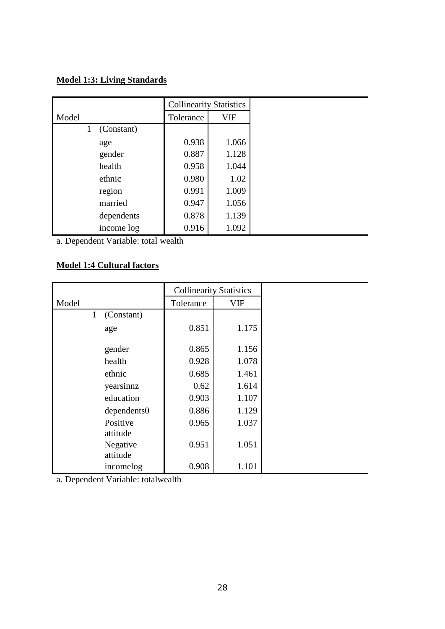## **Model 1:3: Living Standards**

|                 | <b>Collinearity Statistics</b> |            |
|-----------------|--------------------------------|------------|
| Model           | Tolerance                      | <b>VIF</b> |
| (Constant)<br>1 |                                |            |
| age             | 0.938                          | 1.066      |
| gender          | 0.887                          | 1.128      |
| health          | 0.958                          | 1.044      |
| ethnic          | 0.980                          | 1.02       |
| region          | 0.991                          | 1.009      |
| married         | 0.947                          | 1.056      |
| dependents      | 0.878                          | 1.139      |
| income log      | 0.916                          | 1.092      |

a. Dependent Variable: total wealth

## **Model 1:4 Cultural factors**

|                            | <b>Collinearity Statistics</b> |            |
|----------------------------|--------------------------------|------------|
| Model                      | Tolerance                      | <b>VIF</b> |
| (Constant)<br>$\mathbf{1}$ |                                |            |
| age                        | 0.851                          | 1.175      |
| gender                     | 0.865                          | 1.156      |
| health                     | 0.928                          | 1.078      |
| ethnic                     | 0.685                          | 1.461      |
| yearsinnz                  | 0.62                           | 1.614      |
| education                  | 0.903                          | 1.107      |
| dependents0                | 0.886                          | 1.129      |
| Positive<br>attitude       | 0.965                          | 1.037      |
| Negative<br>attitude       | 0.951                          | 1.051      |
| incomelog                  | 0.908                          | 1.101      |

a. Dependent Variable: totalwealth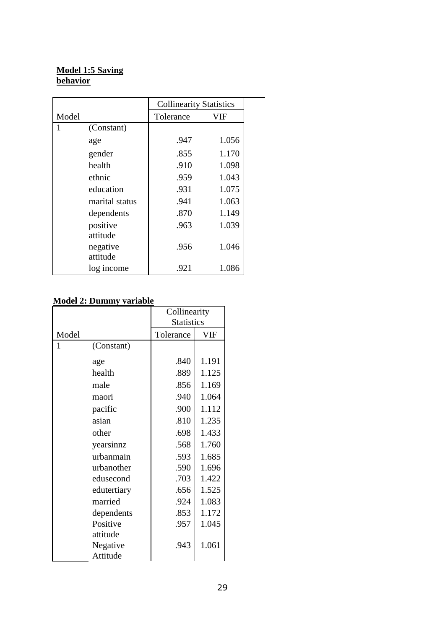## **Model 1:5 Saving behavior**

|       |                | <b>Collinearity Statistics</b> |       |  |  |
|-------|----------------|--------------------------------|-------|--|--|
| Model |                | Tolerance                      | VIF   |  |  |
| 1     | (Constant)     |                                |       |  |  |
|       | age            | .947                           | 1.056 |  |  |
|       | gender         | .855                           | 1.170 |  |  |
|       | health         | .910                           | 1.098 |  |  |
|       | ethnic         | .959                           | 1.043 |  |  |
|       | education      | .931                           | 1.075 |  |  |
|       | marital status | .941                           | 1.063 |  |  |
|       | dependents     | .870                           | 1.149 |  |  |
|       | positive       | .963                           | 1.039 |  |  |
|       | attitude       |                                |       |  |  |
|       | negative       | .956                           | 1.046 |  |  |
|       | attitude       |                                |       |  |  |
|       | log income     | .921                           | 1.086 |  |  |

# **Model 2: Dummy variable**

|       |             | Collinearity      |            |  |  |
|-------|-------------|-------------------|------------|--|--|
|       |             | <b>Statistics</b> |            |  |  |
| Model |             | Tolerance         | <b>VIF</b> |  |  |
| 1     | (Constant)  |                   |            |  |  |
|       | age         | .840              | 1.191      |  |  |
|       | health      | .889              | 1.125      |  |  |
|       | male        | .856              | 1.169      |  |  |
|       | maori       | .940              | 1.064      |  |  |
|       | pacific     | .900              | 1.112      |  |  |
|       | asian       | .810              | 1.235      |  |  |
|       | other       | .698              | 1.433      |  |  |
|       | yearsinnz   | .568              | 1.760      |  |  |
|       | urbanmain   | .593              | 1.685      |  |  |
|       | urbanother  | .590              | 1.696      |  |  |
|       | edusecond   | .703              | 1.422      |  |  |
|       | edutertiary | .656              | 1.525      |  |  |
|       | married     | .924              | 1.083      |  |  |
|       | dependents  | .853              | 1.172      |  |  |
|       | Positive    | .957              | 1.045      |  |  |
|       | attitude    |                   |            |  |  |
|       | Negative    | .943              | 1.061      |  |  |
|       | Attitude    |                   |            |  |  |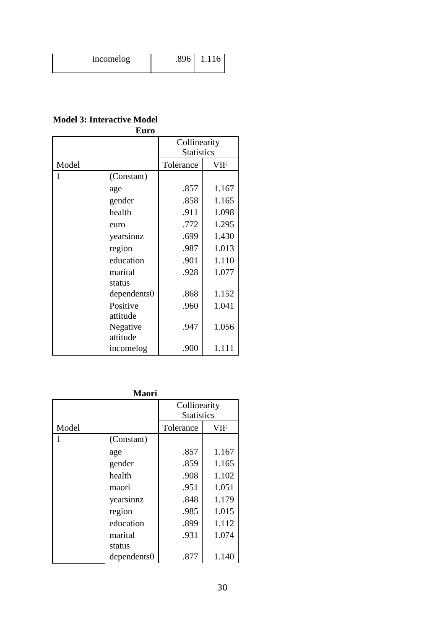**Model 3: Interactive Model Euro**

|       | ruro        |                                   |       |  |  |
|-------|-------------|-----------------------------------|-------|--|--|
|       |             | Collinearity<br><b>Statistics</b> |       |  |  |
| Model |             | Tolerance                         | VIF   |  |  |
| 1     | (Constant)  |                                   |       |  |  |
|       | age         | .857                              | 1.167 |  |  |
|       | gender      | .858                              | 1.165 |  |  |
|       | health      | .911                              | 1.098 |  |  |
|       | euro        | .772                              | 1.295 |  |  |
|       | yearsinnz   | .699                              | 1.430 |  |  |
|       | region      | .987                              | 1.013 |  |  |
|       | education   | .901                              | 1.110 |  |  |
|       | marital     | .928                              | 1.077 |  |  |
|       | status      |                                   |       |  |  |
|       | dependents0 | .868                              | 1.152 |  |  |
|       | Positive    | .960                              | 1.041 |  |  |
|       | attitude    |                                   |       |  |  |
|       | Negative    | .947                              | 1.056 |  |  |
|       | attitude    |                                   |       |  |  |
|       | incomelog   | .900                              | 1.111 |  |  |

**Maori**

|       |             | Collinearity      |       |  |  |
|-------|-------------|-------------------|-------|--|--|
|       |             | <b>Statistics</b> |       |  |  |
| Model |             | Tolerance         | VIF   |  |  |
|       | (Constant)  |                   |       |  |  |
|       | age         | .857              | 1.167 |  |  |
|       | gender      | .859              | 1.165 |  |  |
|       | health      | .908              | 1.102 |  |  |
|       | maori       | .951              | 1.051 |  |  |
|       | yearsinnz   | .848              | 1.179 |  |  |
|       | region      | .985              | 1.015 |  |  |
|       | education   | .899              | 1.112 |  |  |
|       | marital     | .931              | 1.074 |  |  |
|       | status      |                   |       |  |  |
|       | dependents0 | .877              | 1.140 |  |  |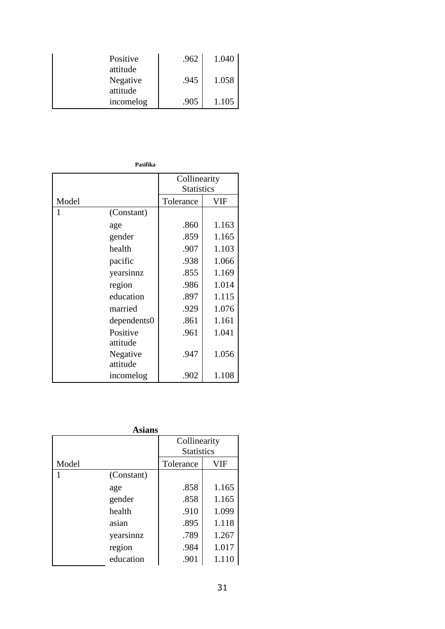| Positive<br>attitude | .962 | 1.040 |
|----------------------|------|-------|
| Negative<br>attitude | .945 | 1.058 |
| incomelog            | .905 | 1.105 |

**Pasifika**

|       |             | Collinearity      |       |  |
|-------|-------------|-------------------|-------|--|
|       |             | <b>Statistics</b> |       |  |
| Model |             | Tolerance         | VIF   |  |
| 1     | (Constant)  |                   |       |  |
|       | age         | .860              | 1.163 |  |
|       | gender      | .859              | 1.165 |  |
|       | health      | .907              | 1.103 |  |
|       | pacific     | .938              | 1.066 |  |
|       | yearsinnz   | .855              | 1.169 |  |
|       | region      | .986              | 1.014 |  |
|       | education   | .897              | 1.115 |  |
|       | married     | .929              | 1.076 |  |
|       | dependents0 | .861              | 1.161 |  |
|       | Positive    | .961              | 1.041 |  |
|       | attitude    |                   |       |  |
|       | Negative    | .947              | 1.056 |  |
|       | attitude    |                   |       |  |
|       | incomelog   | .902              | 1.108 |  |

**Asians**

|       |            | Collinearity      |       |  |  |  |
|-------|------------|-------------------|-------|--|--|--|
|       |            | <b>Statistics</b> |       |  |  |  |
| Model |            | Tolerance         | VIF   |  |  |  |
|       | (Constant) |                   |       |  |  |  |
|       | age        | .858              | 1.165 |  |  |  |
|       | gender     | .858              | 1.165 |  |  |  |
|       | health     | .910              | 1.099 |  |  |  |
|       | asian      | .895              | 1.118 |  |  |  |
|       | yearsinnz  | .789              | 1.267 |  |  |  |
|       | region     | .984              | 1.017 |  |  |  |
|       | education  | .901              | 1.110 |  |  |  |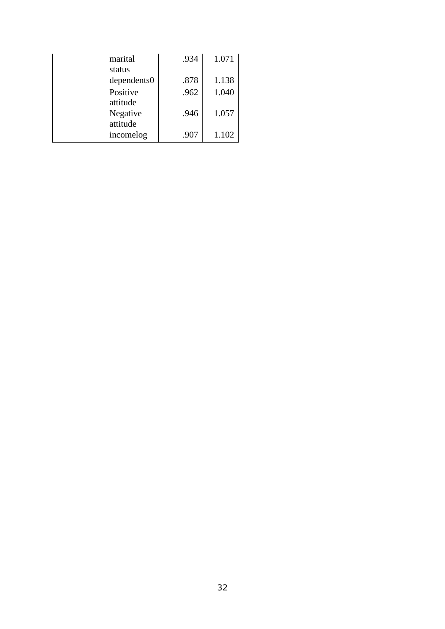| marital              | .934 | 1.071 |
|----------------------|------|-------|
| status               | .878 | 1.138 |
| dependents0          |      |       |
| Positive             | .962 | 1.040 |
| attitude             |      |       |
| Negative<br>attitude | .946 | 1.057 |
| incomelog            | .907 | 1.102 |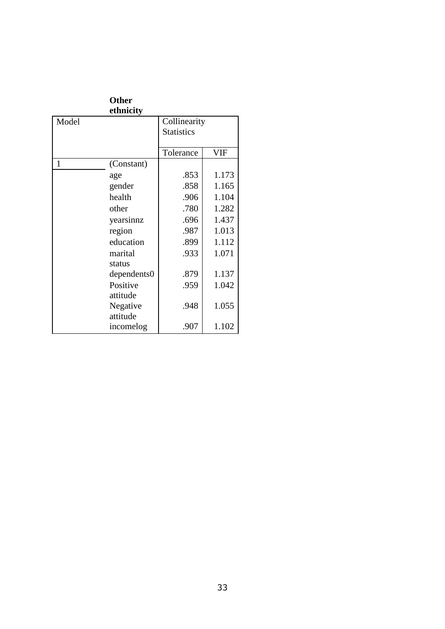|       | <b>Other</b> |                   |       |
|-------|--------------|-------------------|-------|
|       | ethnicity    |                   |       |
| Model |              | Collinearity      |       |
|       |              | <b>Statistics</b> |       |
|       |              |                   |       |
|       |              | Tolerance         | VIF   |
| 1     | (Constant)   |                   |       |
|       | age          | .853              | 1.173 |
|       | gender       | .858              | 1.165 |
|       | health       | .906              | 1.104 |
|       | other        | .780              | 1.282 |
|       | yearsinnz    | .696              | 1.437 |
|       | region       | .987              | 1.013 |
|       | education    | .899              | 1.112 |
|       | marital      | .933              | 1.071 |
|       | status       |                   |       |
|       | dependents0  | .879              | 1.137 |
|       | Positive     | .959              | 1.042 |
|       | attitude     |                   |       |
|       | Negative     | .948              | 1.055 |
|       | attitude     |                   |       |
|       | incomelog    | .907              | 1.102 |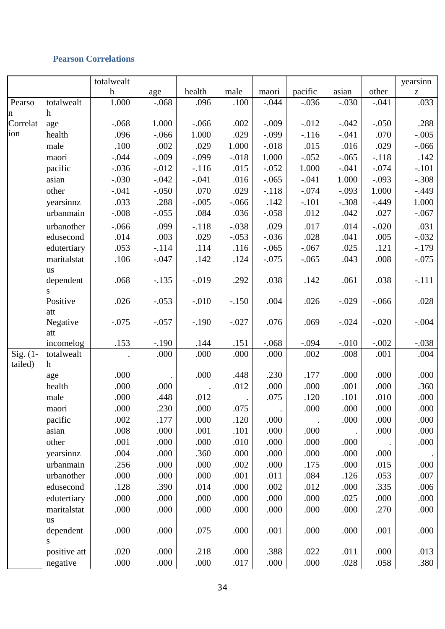## **Pearson Correlations**

|                        |                           | totalwealt       |                 |          |          |         |          |         |                 | yearsinn                                              |
|------------------------|---------------------------|------------------|-----------------|----------|----------|---------|----------|---------|-----------------|-------------------------------------------------------|
|                        |                           | $\boldsymbol{h}$ | age             | health   | male     | maori   | pacific  | asian   | other           | $\mathbf{Z}% ^{T}=\mathbf{Z}^{T}\times\mathbf{Z}^{T}$ |
| Pearso                 | totalwealt                | 1.000            | $-.068$         | .096     | .100     | $-.044$ | $-.036$  | $-.030$ | $-.041$         | .033                                                  |
| n                      | $\boldsymbol{h}$          |                  |                 |          |          |         |          |         |                 |                                                       |
| Correlat               | age                       | $-.068$          | 1.000           | $-0.066$ | .002     | $-.009$ | $-0.012$ | $-.042$ | $-.050$         | .288                                                  |
| ion                    | health                    | .096             | $-.066$         | 1.000    | .029     | $-.099$ | $-116$   | $-.041$ | .070            | $-.005$                                               |
|                        | male                      | .100             | .002            | .029     | 1.000    | $-.018$ | .015     | .016    | .029            | $-0.066$                                              |
|                        | maori                     | $-.044$          | $-.009$         | $-.099$  | $-.018$  | 1.000   | $-.052$  | $-.065$ | $-.118$         | .142                                                  |
|                        | pacific                   | $-.036$          | $-0.012$        | $-116$   | .015     | $-.052$ | 1.000    | $-.041$ | $-.074$         | $-.101$                                               |
|                        | asian                     | $-.030$          | $-.042$         | $-.041$  | .016     | $-.065$ | $-.041$  | 1.000   | $-.093$         | $-.308$                                               |
|                        | other                     | $-.041$          | $-.050$         | .070     | .029     | $-.118$ | $-.074$  | $-.093$ | 1.000           | $-.449$                                               |
|                        | yearsinnz                 | .033             | .288            | $-.005$  | $-0.066$ | .142    | $-.101$  | $-.308$ | $-.449$         | 1.000                                                 |
|                        | urbanmain                 | $-.008$          | $-.055$         | .084     | .036     | $-.058$ | .012     | .042    | .027            | $-.067$                                               |
|                        | urbanother                | $-.066$          | .099            | $-.118$  | $-.038$  | .029    | .017     | .014    | $-.020$         | .031                                                  |
|                        | edusecond                 | .014             | .003            | .029     | $-.053$  | $-.036$ | .028     | .041    | .005            | $-.032$                                               |
|                        | edutertiary               | .053             | $-.114$         | .114     | .116     | $-.065$ | $-.067$  | .025    | .121            | $-179$                                                |
|                        | maritalstat               | .106             | $-.047$         | .142     | .124     | $-.075$ | $-.065$  | .043    | .008            | $-.075$                                               |
|                        | us                        |                  |                 |          |          |         |          |         |                 |                                                       |
|                        | dependent                 | .068             | $-.135$         | $-0.019$ | .292     | .038    | .142     | .061    | .038            | $-.111$                                               |
|                        | S.                        |                  |                 |          |          |         |          |         |                 |                                                       |
|                        | Positive                  | .026             | $-.053$         | $-0.010$ | $-.150$  | .004    | .026     | $-.029$ | $-0.066$        | .028                                                  |
|                        | att                       |                  |                 |          |          |         |          |         |                 |                                                       |
|                        | Negative                  | $-.075$          | $-.057$         | $-.190$  | $-.027$  | .076    | .069     | $-.024$ | $-.020$         | $-.004$                                               |
|                        | att                       |                  |                 |          |          |         |          |         |                 |                                                       |
|                        | incomelog                 | .153             | $-.190$<br>.000 | .144     | .151     | $-.068$ | $-.094$  | $-.010$ | $-.002$<br>.001 | $-.038$                                               |
| Sig. $(1 -$<br>tailed) | totalwealt<br>$\mathbf h$ |                  |                 | .000     | .000     | .000    | .002     | .008    |                 | .004                                                  |
|                        | age                       | .000             |                 | .000     | .448     | .230    | .177     | .000    | .000            | .000                                                  |
|                        | health                    | .000             | .000            |          | .012     | .000    | .000     | .001    | .000            | .360                                                  |
|                        | male                      | .000             | .448            | .012     |          | .075    | .120     | .101    | .010            | .000                                                  |
|                        |                           | .000             | .230            | .000     | .075     |         | .000     | .000    | .000            | .000                                                  |
|                        | maori                     | .002             | .177            | .000     | .120     | .000    |          | .000    | .000            | .000                                                  |
|                        | pacific<br>asian          | .008             | .000            | .001     | .101     | .000    | .000     |         | .000            | .000                                                  |
|                        | other                     | .001             | .000            | .000     |          | .000    | .000     |         |                 |                                                       |
|                        |                           |                  |                 |          | .010     |         |          | .000    |                 | .000                                                  |
|                        | yearsinnz                 | .004             | .000            | .360     | .000     | .000    | .000     | .000    | .000            |                                                       |
|                        | urbanmain                 | .256             | .000            | .000     | .002     | .000    | .175     | .000    | .015            | .000                                                  |
|                        | urbanother                | .000             | .000            | .000     | .001     | .011    | .084     | .126    | .053            | .007                                                  |
|                        | edusecond                 | .128             | .390            | .014     | .000     | .002    | .012     | .000    | .335            | .006                                                  |
|                        | edutertiary               | .000             | .000            | .000     | .000     | .000    | .000     | .025    | .000            | .000                                                  |
|                        | maritalstat               | .000             | .000            | .000     | .000     | .000    | .000     | .000    | .270            | .000                                                  |
|                        | <b>us</b>                 |                  |                 |          |          |         |          |         |                 |                                                       |
|                        | dependent<br>S            | .000             | .000            | .075     | .000     | .001    | .000     | .000    | .001            | .000                                                  |
|                        | positive att              | .020             | .000            | .218     | .000     | .388    | .022     | .011    | .000            | .013                                                  |
|                        | negative                  | .000             | .000            | .000     | .017     | .000    | .000     | .028    | .058            | .380                                                  |
|                        |                           |                  |                 |          |          |         |          |         |                 |                                                       |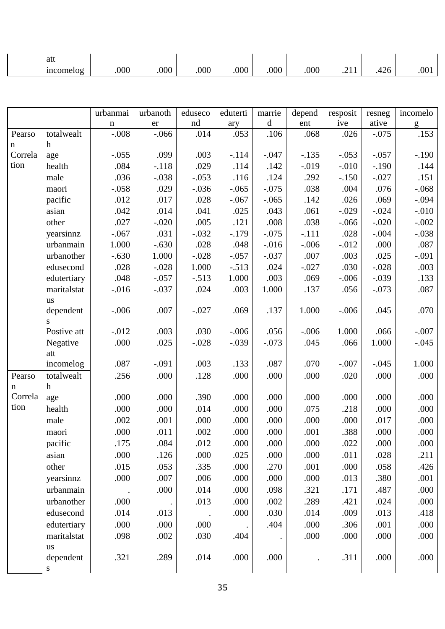| att             |      |      |      |      |     |            |                           |     |      |
|-----------------|------|------|------|------|-----|------------|---------------------------|-----|------|
| income<br>nelog | .000 | .000 | .000 | .000 | 000 | ∩∩∩<br>.vv | .<br>$\sim$ $\sim$ $\sim$ | τ∠∪ | .001 |

|         |                 | urbanmai    | urbanoth | eduseco | eduterti | marrie      | depend   | resposit | resneg  | incomelo |
|---------|-----------------|-------------|----------|---------|----------|-------------|----------|----------|---------|----------|
|         |                 | $\mathbf n$ | er       | nd      | ary      | $\mathbf d$ | ent      | ive      | ative   | g        |
| Pearso  | totalwealt      | $-.008$     | $-0.066$ | .014    | .053     | .106        | .068     | .026     | $-.075$ | .153     |
| n       | $\mathbf h$     |             |          |         |          |             |          |          |         |          |
| Correla | age             | $-.055$     | .099     | .003    | $-.114$  | $-.047$     | $-.135$  | $-.053$  | $-.057$ | $-.190$  |
| tion    | health          | .084        | $-.118$  | .029    | .114     | .142        | $-0.019$ | $-.010$  | $-.190$ | .144     |
|         | male            | .036        | $-.038$  | $-.053$ | .116     | .124        | .292     | $-.150$  | $-.027$ | .151     |
|         | maori           | $-.058$     | .029     | $-.036$ | $-.065$  | $-.075$     | .038     | .004     | .076    | $-.068$  |
|         | pacific         | .012        | .017     | .028    | $-.067$  | $-.065$     | .142     | .026     | .069    | $-.094$  |
|         | asian           | .042        | .014     | .041    | .025     | .043        | .061     | $-.029$  | $-.024$ | $-.010$  |
|         | other           | .027        | $-.020$  | .005    | .121     | .008        | .038     | $-.066$  | $-.020$ | $-.002$  |
|         | yearsinnz       | $-.067$     | .031     | $-.032$ | $-.179$  | $-.075$     | $-.111$  | .028     | $-.004$ | $-.038$  |
|         | urbanmain       | 1.000       | $-.630$  | .028    | .048     | $-0.016$    | $-.006$  | $-0.012$ | .000    | .087     |
|         | urbanother      | $-.630$     | 1.000    | $-.028$ | $-.057$  | $-.037$     | .007     | .003     | .025    | $-.091$  |
|         | edusecond       | .028        | $-.028$  | 1.000   | $-.513$  | .024        | $-.027$  | .030     | $-.028$ | .003     |
|         | edutertiary     | .048        | $-.057$  | $-.513$ | 1.000    | .003        | .069     | $-.006$  | $-.039$ | .133     |
|         | maritalstat     | $-0.016$    | $-.037$  | .024    | .003     | 1.000       | .137     | .056     | $-.073$ | .087     |
|         | <b>us</b>       |             |          |         |          |             |          |          |         |          |
|         | dependent       | $-.006$     | .007     | $-.027$ | .069     | .137        | 1.000    | $-.006$  | .045    | .070     |
|         | S.              |             |          |         |          |             |          |          |         |          |
|         | Postive att     | $-.012$     | .003     | .030    | $-.006$  | .056        | $-.006$  | 1.000    | .066    | $-.007$  |
|         | Negative<br>att | .000        | .025     | $-.028$ | $-.039$  | $-.073$     | .045     | .066     | 1.000   | $-.045$  |
|         | incomelog       | .087        | $-.091$  | .003    | .133     | .087        | .070     | $-.007$  | $-.045$ | 1.000    |
| Pearso  | totalwealt      | .256        | .000     | .128    | .000     | .000        | .000     | .020     | .000    | .000     |
| n       | $\mathbf h$     |             |          |         |          |             |          |          |         |          |
| Correla | age             | .000        | .000     | .390    | .000     | .000        | .000     | .000     | .000    | .000     |
| tion    | health          | .000        | .000     | .014    | .000     | .000        | .075     | .218     | .000    | .000     |
|         | male            | .002        | .001     | .000    | .000     | .000        | .000     | .000     | .017    | .000     |
|         | maori           | .000        | .011     | .002    | .000     | .000        | .001     | .388     | .000    | .000     |
|         | pacific         | .175        | .084     | .012    | .000     | .000        | .000     | .022     | .000    | .000     |
|         | asian           | .000        | .126     | .000    | .025     | .000        | .000     | .011     | .028    | .211     |
|         | other           | .015        | .053     | .335    | .000     | .270        | .001     | .000     | .058    | .426     |
|         | yearsinnz       | .000        | .007     | .006    | .000     | .000        | .000     | .013     | .380    | .001     |
|         | urbanmain       |             | .000     | .014    | .000     | .098        | .321     | .171     | .487    | .000     |
|         | urbanother      | .000        |          | .013    | .000     | .002        | .289     | .421     | .024    | .000     |
|         | edusecond       | .014        | .013     |         | .000     | .030        | .014     | .009     | .013    | .418     |
|         | edutertiary     | .000        | .000     | .000    |          | .404        | .000     | .306     | .001    | .000     |
|         | maritalstat     | .098        | .002     | .030    | .404     |             | .000     | .000     | .000    | .000     |
|         | us              |             |          |         |          |             |          |          |         |          |
|         | dependent       | .321        | .289     | .014    | .000     | .000        |          | .311     | .000    | .000     |
|         | S               |             |          |         |          |             |          |          |         |          |